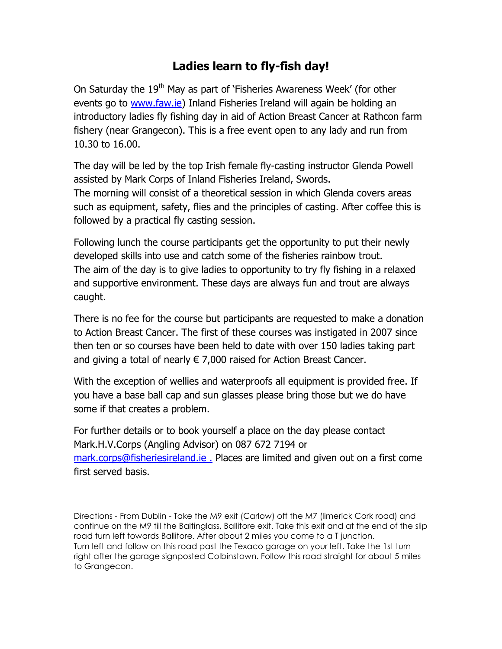## **Ladies learn to fly-fish day!**

On Saturday the 19<sup>th</sup> May as part of 'Fisheries Awareness Week' (for other events go to [www.faw.ie\)](http://www.faw.ie/) Inland Fisheries Ireland will again be holding an introductory ladies fly fishing day in aid of Action Breast Cancer at Rathcon farm fishery (near Grangecon). This is a free event open to any lady and run from 10.30 to 16.00.

The day will be led by the top Irish female fly-casting instructor Glenda Powell assisted by Mark Corps of Inland Fisheries Ireland, Swords. The morning will consist of a theoretical session in which Glenda covers areas such as equipment, safety, flies and the principles of casting. After coffee this is followed by a practical fly casting session.

Following lunch the course participants get the opportunity to put their newly developed skills into use and catch some of the fisheries rainbow trout. The aim of the day is to give ladies to opportunity to try fly fishing in a relaxed and supportive environment. These days are always fun and trout are always caught.

There is no fee for the course but participants are requested to make a donation to Action Breast Cancer. The first of these courses was instigated in 2007 since then ten or so courses have been held to date with over 150 ladies taking part and giving a total of nearly  $\epsilon$  7,000 raised for Action Breast Cancer.

With the exception of wellies and waterproofs all equipment is provided free. If you have a base ball cap and sun glasses please bring those but we do have some if that creates a problem.

For further details or to book yourself a place on the day please contact Mark.H.V.Corps (Angling Advisor) on 087 672 7194 or mark.corps@fisheriesireland.ie . Places are limited and given out on a first come first served basis.

Directions - From Dublin - Take the M9 exit (Carlow) off the M7 (limerick Cork road) and continue on the M9 till the Baltinglass, Ballitore exit. Take this exit and at the end of the slip road turn left towards Ballitore. After about 2 miles you come to a T junction. Turn left and follow on this road past the Texaco garage on your left. Take the 1st turn right after the garage signposted Colbinstown. Follow this road straight for about 5 miles to Grangecon.